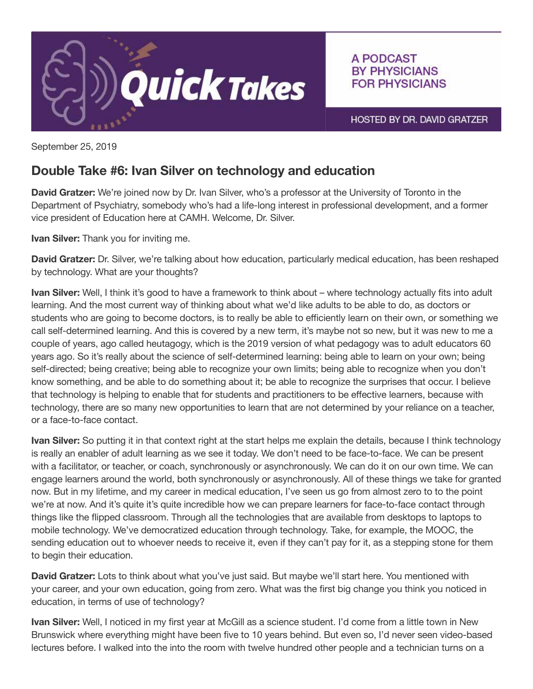

A PODCAST **BY PHYSICIANS FOR PHYSICIANS** 

HOSTED BY DR. DAVID GRATZER

September 25, 2019

## Double Take #6: Ivan Silver on technology and education

David Gratzer: We're joined now by Dr. Ivan Silver, who's a professor at the University of Toronto in the Department of Psychiatry, somebody who's had a life-long interest in professional development, and a former vice president of Education here at CAMH. Welcome, Dr. Silver.

**Ivan Silver:** Thank you for inviting me.

David Gratzer: Dr. Silver, we're talking about how education, particularly medical education, has been reshaped by technology. What are your thoughts?

Ivan Silver: Well, I think it's good to have a framework to think about – where technology actually fits into adult learning. And the most current way of thinking about what we'd like adults to be able to do, as doctors or students who are going to become doctors, is to really be able to efficiently learn on their own, or something we call self-determined learning. And this is covered by a new term, it's maybe not so new, but it was new to me a couple of years, ago called heutagogy, which is the 2019 version of what pedagogy was to adult educators 60 years ago. So it's really about the science of self-determined learning: being able to learn on your own; being self-directed; being creative; being able to recognize your own limits; being able to recognize when you don't know something, and be able to do something about it; be able to recognize the surprises that occur. I believe that technology is helping to enable that for students and practitioners to be effective learners, because with technology, there are so many new opportunities to learn that are not determined by your reliance on a teacher, or a face-to-face contact.

Ivan Silver: So putting it in that context right at the start helps me explain the details, because I think technology is really an enabler of adult learning as we see it today. We don't need to be face-to-face. We can be present with a facilitator, or teacher, or coach, synchronously or asynchronously. We can do it on our own time. We can engage learners around the world, both synchronously or asynchronously. All of these things we take for granted now. But in my lifetime, and my career in medical education, I've seen us go from almost zero to to the point we're at now. And it's quite it's quite incredible how we can prepare learners for face-to-face contact through things like the flipped classroom. Through all the technologies that are available from desktops to laptops to mobile technology. We've democratized education through technology. Take, for example, the MOOC, the sending education out to whoever needs to receive it, even if they can't pay for it, as a stepping stone for them to begin their education.

**David Gratzer:** Lots to think about what you've just said. But maybe we'll start here. You mentioned with your career, and your own education, going from zero. What was the first big change you think you noticed in education, in terms of use of technology?

Ivan Silver: Well, I noticed in my first year at McGill as a science student. I'd come from a little town in New Brunswick where everything might have been five to 10 years behind. But even so, I'd never seen video-based lectures before. I walked into the into the room with twelve hundred other people and a technician turns on a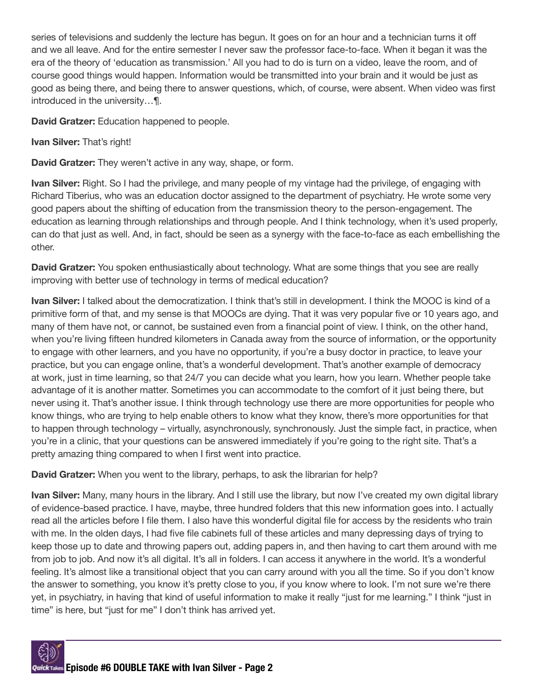series of televisions and suddenly the lecture has begun. It goes on for an hour and a technician turns it off and we all leave. And for the entire semester I never saw the professor face-to-face. When it began it was the era of the theory of 'education as transmission.' All you had to do is turn on a video, leave the room, and of course good things would happen. Information would be transmitted into your brain and it would be just as good as being there, and being there to answer questions, which, of course, were absent. When video was first introduced in the university…¶.

David Gratzer: Education happened to people.

Ivan Silver: That's right!

David Gratzer: They weren't active in any way, shape, or form.

**Ivan Silver:** Right. So I had the privilege, and many people of my vintage had the privilege, of engaging with Richard Tiberius, who was an education doctor assigned to the department of psychiatry. He wrote some very good papers about the shifting of education from the transmission theory to the person-engagement. The education as learning through relationships and through people. And I think technology, when it's used properly, can do that just as well. And, in fact, should be seen as a synergy with the face-to-face as each embellishing the other.

David Gratzer: You spoken enthusiastically about technology. What are some things that you see are really improving with better use of technology in terms of medical education?

Ivan Silver: I talked about the democratization. I think that's still in development. I think the MOOC is kind of a primitive form of that, and my sense is that MOOCs are dying. That it was very popular five or 10 years ago, and many of them have not, or cannot, be sustained even from a financial point of view. I think, on the other hand, when you're living fifteen hundred kilometers in Canada away from the source of information, or the opportunity to engage with other learners, and you have no opportunity, if you're a busy doctor in practice, to leave your practice, but you can engage online, that's a wonderful development. That's another example of democracy at work, just in time learning, so that 24/7 you can decide what you learn, how you learn. Whether people take advantage of it is another matter. Sometimes you can accommodate to the comfort of it just being there, but never using it. That's another issue. I think through technology use there are more opportunities for people who know things, who are trying to help enable others to know what they know, there's more opportunities for that to happen through technology – virtually, asynchronously, synchronously. Just the simple fact, in practice, when you're in a clinic, that your questions can be answered immediately if you're going to the right site. That's a pretty amazing thing compared to when I first went into practice.

David Gratzer: When you went to the library, perhaps, to ask the librarian for help?

**Ivan Silver:** Many, many hours in the library. And I still use the library, but now I've created my own digital library of evidence-based practice. I have, maybe, three hundred folders that this new information goes into. I actually read all the articles before I file them. I also have this wonderful digital file for access by the residents who train with me. In the olden days, I had five file cabinets full of these articles and many depressing days of trying to keep those up to date and throwing papers out, adding papers in, and then having to cart them around with me from job to job. And now it's all digital. It's all in folders. I can access it anywhere in the world. It's a wonderful feeling. It's almost like a transitional object that you can carry around with you all the time. So if you don't know the answer to something, you know it's pretty close to you, if you know where to look. I'm not sure we're there yet, in psychiatry, in having that kind of useful information to make it really "just for me learning." I think "just in time" is here, but "just for me" I don't think has arrived yet.